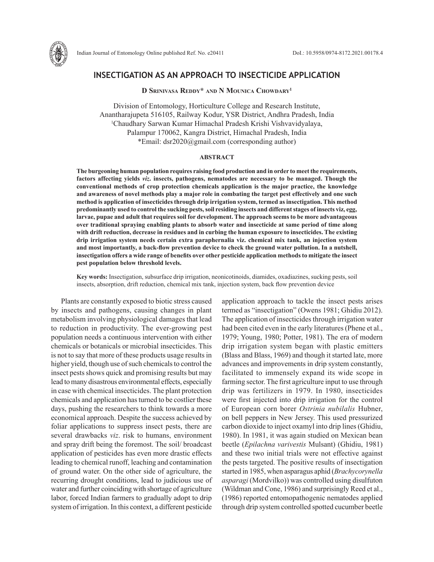

## **INSECTIGATION AS AN APPROACH TO INSECTICIDE APPLICATION**

### **D Srinivasa Reddy\* and N Mounica Chowdary1**

Division of Entomology, Horticulture College and Research Institute, Anantharajupeta 516105, Railway Kodur, YSR District, Andhra Pradesh, India 1 Chaudhary Sarwan Kumar Himachal Pradesh Krishi Vishvavidyalaya, Palampur 170062, Kangra District, Himachal Pradesh, India \*Email: dsr2020@gmail.com (corresponding author)

#### **ABSTRACT**

**The burgeoning human population requires raising food production and in order to meet the requirements, factors affecting yields** *viz***. insects, pathogens, nematodes are necessary to be managed. Though the conventional methods of crop protection chemicals application is the major practice, the knowledge and awareness of novel methods play a major role in combating the target pest effectively and one such method is application of insecticides through drip irrigation system, termed as insectigation. This method predominantly used to control the sucking pests, soil residing insects and different stages of insects viz, egg, larvae, pupae and adult that requires soil for development. The approach seems to be more advantageous over traditional spraying enabling plants to absorb water and insecticide at same period of time along with drift reduction, decrease in residues and in curbing the human exposure to insecticides. The existing drip irrigation system needs certain extra paraphernalia viz. chemical mix tank, an injection system and most importantly, a back-flow prevention device to check the ground water pollution. In a nutshell, insectigation offers a wide range of benefits over other pesticide application methods to mitigate the insect pest population below threshold levels.**

**Key words:** Insectigation, subsurface drip irrigation, neonicotinoids, diamides, oxadiazines, sucking pests, soil insects, absorption, drift reduction, chemical mix tank, injection system, back flow prevention device

Plants are constantly exposed to biotic stress caused by insects and pathogens, causing changes in plant metabolism involving physiological damages that lead to reduction in productivity. The ever-growing pest population needs a continuous intervention with either chemicals or botanicals or microbial insecticides. This is not to say that more of these products usage results in higher yield, though use of such chemicals to control the insect pests shows quick and promising results but may lead to many disastrous environmental effects, especially in case with chemical insecticides. The plant protection chemicals and application has turned to be costlier these days, pushing the researchers to think towards a more economical approach. Despite the success achieved by foliar applications to suppress insect pests, there are several drawbacks *viz*. risk to humans, environment and spray drift being the foremost. The soil/ broadcast application of pesticides has even more drastic effects leading to chemical runoff, leaching and contamination of ground water. On the other side of agriculture, the recurring drought conditions, lead to judicious use of water and further coinciding with shortage of agriculture labor, forced Indian farmers to gradually adopt to drip system of irrigation. In this context, a different pesticide application approach to tackle the insect pests arises termed as "insectigation" (Owens 1981; Ghidiu 2012). The application of insecticides through irrigation water had been cited even in the early literatures (Phene et al., 1979; Young, 1980; Potter, 1981). The era of modern drip irrigation system began with plastic emitters (Blass and Blass, 1969) and though it started late, more advances and improvements in drip system constantly, facilitated to immensely expand its wide scope in farming sector. The first agriculture input to use through drip was fertilizers in 1979. In 1980, insecticides were first injected into drip irrigation for the control of European corn borer *Ostrinia nubilalis* Hubner, on bell peppers in New Jersey. This used pressurized carbon dioxide to inject oxamyl into drip lines (Ghidiu, 1980). In 1981, it was again studied on Mexican bean beetle (*Epilachna varivestis* Mulsant) (Ghidiu, 1981) and these two initial trials were not effective against the pests targeted. The positive results of insectigation started in 1985, when asparagus aphid (*Brachycorynella asparagi* (Mordvilko)) was controlled using disulfuton (Wildman and Cone, 1986) and surprisingly Reed et al., (1986) reported entomopathogenic nematodes applied through drip system controlled spotted cucumber beetle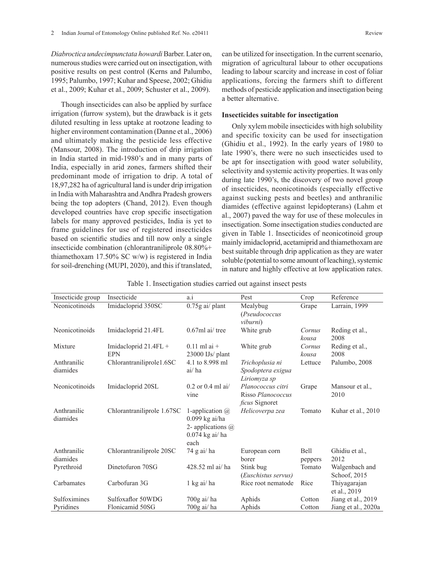*Diabroctica undecimpunctata howardi* Barber. Later on, numerous studies were carried out on insectigation, with positive results on pest control (Kerns and Palumbo, 1995; Palumbo, 1997; Kuhar and Speese, 2002; Ghidiu et al., 2009; Kuhar et al., 2009; Schuster et al., 2009).

Though insecticides can also be applied by surface irrigation (furrow system), but the drawback is it gets diluted resulting in less uptake at rootzone leading to higher environment contamination (Danne et al., 2006) and ultimately making the pesticide less effective (Mansour, 2008). The introduction of drip irrigation in India started in mid-1980's and in many parts of India, especially in arid zones, farmers shifted their predominant mode of irrigation to drip. A total of 18,97,282 ha of agricultural land is under drip irrigation in India with Maharashtra and Andhra Pradesh growers being the top adopters (Chand, 2012). Even though developed countries have crop specific insectigation labels for many approved pesticides, India is yet to frame guidelines for use of registered insecticides based on scientific studies and till now only a single insecticide combination (chlorantraniliprole 08.80%+ thiamethoxam 17.50% SC w/w) is registered in India for soil-drenching (MUPI, 2020), and this if translated,

# **Insecticides suitable for insectigation**

Only xylem mobile insecticides with high solubility and specific toxicity can be used for insectigation (Ghidiu et al., 1992). In the early years of 1980 to late 1990's, there were no such insecticides used to be apt for insectigation with good water solubility, selectivity and systemic activity properties. It was only during late 1990's, the discovery of two novel group of insecticides, neonicotinoids (especially effective against sucking pests and beetles) and anthranilic diamides (effective against lepidopterans) (Lahm et al., 2007) paved the way for use of these molecules in insectigation. Some insectigation studies conducted are given in Table 1. Insecticides of neonicotinoid group mainly imidacloprid, acetamiprid and thiamethoxam are best suitable through drip application as they are water soluble (potential to some amount of leaching), systemic in nature and highly effective at low application rates.

Table 1. Insectigation studies carried out against insect pests

| Insecticide group       | Insecticide                           | a.i                                                                                               | Pest                                                            | Crop                   | Reference                      |
|-------------------------|---------------------------------------|---------------------------------------------------------------------------------------------------|-----------------------------------------------------------------|------------------------|--------------------------------|
| Neonicotinoids          | Imidacloprid 350SC                    | $0.75g$ ai/ plant                                                                                 | Mealybug<br>(Pseudococcus<br><i>viburni</i> )                   | Grape                  | Larrain, 1999                  |
| Neonicotinoids          | Imidacloprid 21.4FL                   | $0.67$ ml ai/tree                                                                                 | White grub                                                      | Cornus<br>kousa        | Reding et al.,<br>2008         |
| Mixture                 | Imidacloprid $21.4FL +$<br><b>EPN</b> | $0.11$ ml ai +<br>23000 IJs/ plant                                                                | White grub                                                      | Cornus<br>kousa        | Reding et al.,<br>2008         |
| Anthranilic<br>diamides | Chlorantraniliprole1.6SC              | 4.1 to 8.998 ml<br>ai/ha                                                                          | Trichoplusia ni<br>Spodoptera exigua<br>Liriomyza sp            | Lettuce                | Palumbo, 2008                  |
| Neonicotinoids          | Imidacloprid 20SL                     | $0.2$ or $0.4$ ml ai/<br>vine                                                                     | Planococcus citri<br>Risso Planococcus<br><i>ficus</i> Signoret | Grape                  | Mansour et al.,<br>2010        |
| Anthranilic<br>diamides | Chlorantraniliprole 1.67SC            | 1-application $\omega$<br>$0.099$ kg ai/ha<br>2-applications $\omega$<br>$0.074$ kg ai/ha<br>each | Helicoverpa zea                                                 | Tomato                 | Kuhar et al., 2010             |
| Anthranilic<br>diamides | Chlorantraniliprole 20SC              | 74 g ai/ha                                                                                        | European corn<br>borer                                          | <b>Bell</b><br>peppers | Ghidiu et al.,<br>2012         |
| Pyrethroid              | Dinetofuron 70SG                      | 428.52 ml ai/ ha                                                                                  | Stink bug<br>(Euschistus servus)                                | Tomato                 | Walgenbach and<br>Schoof, 2015 |
| Carbamates              | Carbofuran 3G                         | 1 kg ai/ha                                                                                        | Rice root nematode                                              | Rice                   | Thiyagarajan<br>et al., 2019   |
| Sulfoximines            | Sulfoxaflor 50WDG                     | $700g$ ai/ ha                                                                                     | Aphids                                                          | Cotton                 | Jiang et al., 2019             |
| Pyridines               | Flonicamid 50SG                       | 700g ai/ha                                                                                        | Aphids                                                          | Cotton                 | Jiang et al., 2020a            |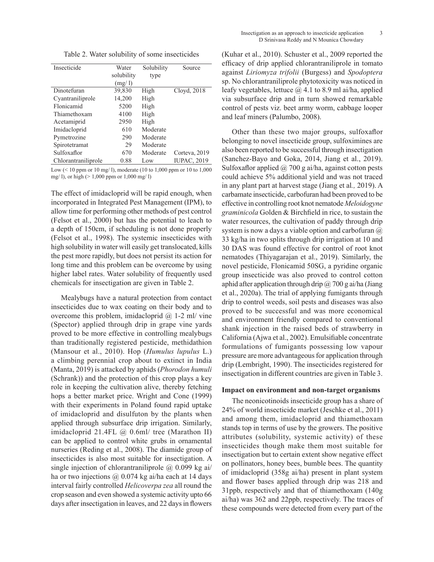| Insecticide         | Water      | Solubility | Source             |
|---------------------|------------|------------|--------------------|
|                     | solubility | type       |                    |
|                     | (mg/1)     |            |                    |
| Dinotefuran         | 39,830     | High       | Cloyd, 2018        |
| Cyantraniliprole    | 14,200     | High       |                    |
| Flonicamid          | 5200       | High       |                    |
| Thiamethoxam        | 4100       | High       |                    |
| Acetamiprid         | 2950       | High       |                    |
| Imidacloprid        | 610        | Moderate   |                    |
| Pymetrozine         | 290        | Moderate   |                    |
| Spirotetramat       | 29         | Moderate   |                    |
| Sulfoxaflor         | 670        | Moderate   | Corteva, 2019      |
| Chlorantraniliprole | 0.88       | Low        | <b>IUPAC, 2019</b> |

Low (< 10 ppm or 10 mg/ l), moderate (10 to 1,000 ppm or 10 to 1,000 mg/ l), or high (> 1,000 ppm or 1,000 mg/ l)

The effect of imidacloprid will be rapid enough, when incorporated in Integrated Pest Management (IPM), to allow time for performing other methods of pest control (Felsot et al., 2000) but has the potential to leach to a depth of 150cm, if scheduling is not done properly (Felsot et al., 1998). The systemic insecticides with high solubility in water will easily get translocated, kills the pest more rapidly, but does not persist its action for long time and this problem can be overcome by using higher label rates. Water solubility of frequently used chemicals for insectigation are given in Table 2.

Mealybugs have a natural protection from contact insecticides due to wax coating on their body and to overcome this problem, imidacloprid  $\omega$  1-2 ml/ vine (Spector) applied through drip in grape vine yards proved to be more effective in controlling mealybugs than traditionally registered pesticide, methidathion (Mansour et al., 2010). Hop (*Humulus lupulus* L.) a climbing perennial crop about to extinct in India (Manta, 2019) is attacked by aphids (*Phorodon humuli*  (Schrank)) and the protection of this crop plays a key role in keeping the cultivation alive, thereby fetching hops a better market price. Wright and Cone (1999) with their experiments in Poland found rapid uptake of imidacloprid and disulfuton by the plants when applied through subsurface drip irrigation. Similarly, imidacloprid 21.4FL @ 0.6ml/ tree (Marathon II) can be applied to control white grubs in ornamental nurseries (Reding et al., 2008). The diamide group of insecticides is also most suitable for insectigation. A single injection of chlorantraniliprole  $\omega$  0.099 kg ai/ ha or two injections @ 0.074 kg ai/ha each at 14 days interval fairly controlled *Helicoverpa zea* all round the crop season and even showed a systemic activity upto 66 days after insectigation in leaves, and 22 days in flowers

(Kuhar et al., 2010). Schuster et al., 2009 reported the efficacy of drip applied chlorantraniliprole in tomato against *Liriomyza trifolii* (Burgess) and *Spodoptera* sp. No chlorantraniliprole phytotoxicity was noticed in leafy vegetables, lettuce  $(a)$  4.1 to 8.9 ml ai/ha, applied via subsurface drip and in turn showed remarkable control of pests viz. beet army worm, cabbage looper and leaf miners (Palumbo, 2008).

Other than these two major groups, sulfoxaflor belonging to novel insecticide group, sulfoximines are also been reported to be successful through insectigation (Sanchez-Bayo and Goka, 2014, Jiang et al., 2019). Sulfoxaflor applied  $\omega$  700 g ai/ha, against cotton pests could achieve 5% additional yield and was not traced in any plant part at harvest stage (Jiang et al*.,* 2019). A carbamate insecticide, carbofuran had been proved to be effective in controlling root knot nematode *Meloidogyne graminicola* Golden & Birchfield in rice, to sustain the water resources, the cultivation of paddy through drip system is now a days a viable option and carbofuran  $\omega$ 33 kg/ha in two splits through drip irrigation at 10 and 30 DAS was found effective for control of root knot nematodes (Thiyagarajan et al., 2019). Similarly, the novel pesticide, Flonicamid 50SG, a pyridine organic group insecticide was also proved to control cotton aphid after application through drip  $\omega$  700 g ai/ha (Jiang et al., 2020a). The trial of applying fumigants through drip to control weeds, soil pests and diseases was also proved to be successful and was more economical and environment friendly compared to conventional shank injection in the raised beds of strawberry in California (Ajwa et al., 2002). Emulsifiable concentrate formulations of fumigants possessing low vapour pressure are more advantageous for application through drip (Lembright, 1990). The insecticides registered for insectigation in different countries are given in Table 3.

#### **Impact on environment and non-target organisms**

The neonicotinoids insecticide group has a share of 24% of world insecticide market (Jeschke et al., 2011) and among them, imidacloprid and thiamethoxam stands top in terms of use by the growers. The positive attributes (solubility, systemic activity) of these insecticides though make them most suitable for insectigation but to certain extent show negative effect on pollinators, honey bees, bumble bees. The quantity of imidacloprid (358g ai/ha) present in plant system and flower bases applied through drip was 218 and 31ppb, respectively and that of thiamethoxam (140g ai/ha) was 362 and 22ppb, respectively. The traces of these compounds were detected from every part of the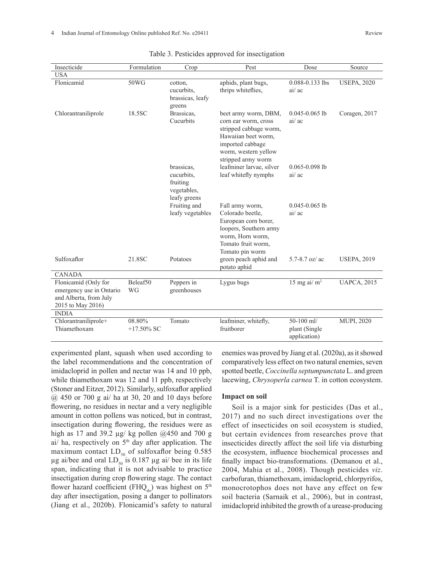| Insecticide                                                                                     | Formulation             | Crop                                                                | Pest                                                                                                                                                            | Dose                                          | Source             |
|-------------------------------------------------------------------------------------------------|-------------------------|---------------------------------------------------------------------|-----------------------------------------------------------------------------------------------------------------------------------------------------------------|-----------------------------------------------|--------------------|
| <b>USA</b>                                                                                      |                         |                                                                     |                                                                                                                                                                 |                                               |                    |
| Flonicamid                                                                                      | 50WG                    | cotton,<br>cucurbits.<br>brassicas, leafy<br>greens                 | aphids, plant bugs,<br>thrips whiteflies,                                                                                                                       | 0.088-0.133 lbs<br>ai/ac                      | <b>USEPA, 2020</b> |
| Chlorantraniliprole                                                                             | 18.5SC                  | Brassicas,<br>Cucurbits                                             | beet army worm, DBM,<br>corn ear worm, cross<br>stripped cabbage worm,<br>Hawaiian beet worm,<br>imported cabbage<br>worm, western yellow<br>stripped army worm | $0.045 - 0.065$ lb<br>ai/ ac                  | Coragen, 2017      |
|                                                                                                 |                         | brassicas.<br>cucurbits.<br>fruiting<br>vegetables,<br>leafy greens | leafminer larvae, silver<br>leaf whitefly nymphs                                                                                                                | $0.065 - 0.098$ lb<br>ai/ac                   |                    |
|                                                                                                 |                         | Fruiting and<br>leafy vegetables                                    | Fall army worm,<br>Colorado beetle,<br>European corn borer,<br>loopers, Southern army<br>worm, Horn worm,<br>Tomato fruit worm,<br>Tomato pin worm              | $0.045 - 0.065$ lb<br>ai/ ac                  |                    |
| Sulfoxaflor                                                                                     | 21.8SC                  | Potatoes                                                            | green peach aphid and<br>potato aphid                                                                                                                           | 5.7-8.7 oz/ $ac$                              | <b>USEPA, 2019</b> |
| <b>CANADA</b>                                                                                   |                         |                                                                     |                                                                                                                                                                 |                                               |                    |
| Flonicamid (Only for<br>emergency use in Ontario<br>and Alberta, from July<br>2015 to May 2016) | Beleaf50<br>WG          | Peppers in<br>greenhouses                                           | $\overline{L}$ ygus bugs                                                                                                                                        | 15 mg ai/ $m2$                                | <b>UAPCA, 2015</b> |
| <b>INDIA</b>                                                                                    |                         |                                                                     |                                                                                                                                                                 |                                               |                    |
| Chlorantraniliprole+<br>Thiamethoxam                                                            | 08.80%<br>$+17.50\%$ SC | Tomato                                                              | leafminer, whitefly,<br>fruitborer                                                                                                                              | $50-100$ ml/<br>plant (Single<br>application) | MUPI, 2020         |

Table 3. Pesticides approved for insectigation

experimented plant, squash when used according to the label recommendations and the concentration of imidacloprid in pollen and nectar was 14 and 10 ppb, while thiamethoxam was 12 and 11 ppb, respectively (Stoner and Eitzer, 2012). Similarly, sulfoxaflor applied  $(a)$  450 or 700 g ai/ ha at 30, 20 and 10 days before flowering, no residues in nectar and a very negligible amount in cotton pollens was noticed, but in contrast, insectigation during flowering, the residues were as high as 17 and 39.2  $\mu$ g/ kg pollen @450 and 700 g ai/ ha, respectively on  $5<sup>th</sup>$  day after application. The maximum contact  $LD_{50}$  of sulfoxaflor being 0.585  $\mu$ g ai/bee and oral LD<sub>50</sub> is 0.187  $\mu$ g ai/ bee in its life span, indicating that it is not advisable to practice insectigation during crop flowering stage. The contact flower hazard coefficient (FHQ<sub>do</sub>) was highest on 5<sup>th</sup> day after insectigation, posing a danger to pollinators (Jiang et al., 2020b). Flonicamid's safety to natural

enemies was proved by Jiang et al. (2020a), as it showed comparatively less effect on two natural enemies, seven spotted beetle, *Coccinella septumpunctata* L. and green lacewing, *Chrysoperla carnea* T. in cotton ecosystem.

### **Impact on soil**

Soil is a major sink for pesticides (Das et al., 2017) and no such direct investigations over the effect of insecticides on soil ecosystem is studied, but certain evidences from researches prove that insecticides directly affect the soil life via disturbing the ecosystem, influence biochemical processes and finally impact bio-transformations. (Demanou et al., 2004, Mahia et al., 2008). Though pesticides *viz*. carbofuran, thiamethoxam, imidacloprid, chlorpyrifos, monocrotophos does not have any effect on few soil bacteria (Sarnaik et al., 2006), but in contrast, imidacloprid inhibited the growth of a urease-producing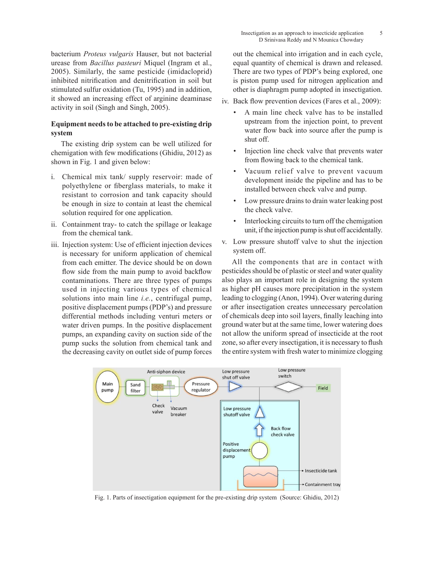bacterium *Proteus vulgaris* Hauser, but not bacterial urease from *Bacillus pasteuri* Miquel (Ingram et al., 2005). Similarly, the same pesticide (imidacloprid) inhibited nitrification and denitrification in soil but stimulated sulfur oxidation (Tu, 1995) and in addition, it showed an increasing effect of arginine deaminase activity in soil (Singh and Singh, 2005).

# **Equipment needs to be attached to pre-existing drip system**

The existing drip system can be well utilized for chemigation with few modifications (Ghidiu, 2012) as shown in Fig. 1 and given below:

- i. Chemical mix tank/ supply reservoir: made of polyethylene or fiberglass materials, to make it resistant to corrosion and tank capacity should be enough in size to contain at least the chemical solution required for one application.
- ii. Containment tray- to catch the spillage or leakage from the chemical tank.
- iii. Injection system: Use of efficient injection devices is necessary for uniform application of chemical from each emitter. The device should be on down flow side from the main pump to avoid backflow contaminations. There are three types of pumps used in injecting various types of chemical solutions into main line *i.e.*, centrifugal pump, positive displacement pumps (PDP's) and pressure differential methods including venturi meters or water driven pumps. In the positive displacement pumps, an expanding cavity on suction side of the pump sucks the solution from chemical tank and the decreasing cavity on outlet side of pump forces

out the chemical into irrigation and in each cycle, equal quantity of chemical is drawn and released. There are two types of PDP's being explored, one is piston pump used for nitrogen application and other is diaphragm pump adopted in insectigation.

## iv. Back flow prevention devices (Fares et al., 2009):

- A main line check valve has to be installed upstream from the injection point, to prevent water flow back into source after the pump is shut off.
- Injection line check valve that prevents water from flowing back to the chemical tank.
- Vacuum relief valve to prevent vacuum development inside the pipeline and has to be installed between check valve and pump.
- Low pressure drains to drain water leaking post the check valve.
- Interlocking circuits to turn off the chemigation unit, if the injection pump is shut off accidentally.
- v. Low pressure shutoff valve to shut the injection system off.

All the components that are in contact with pesticides should be of plastic or steel and water quality also plays an important role in designing the system as higher pH causes more precipitation in the system leading to clogging (Anon, 1994). Over watering during or after insectigation creates unnecessary percolation of chemicals deep into soil layers, finally leaching into ground water but at the same time, lower watering does not allow the uniform spread of insecticide at the root zone, so after every insectigation, it is necessary to flush the entire system with fresh water to minimize clogging



Fig. 1. Parts of insectigation equipment for the pre-existing drip system (Source: Ghidiu, 2012)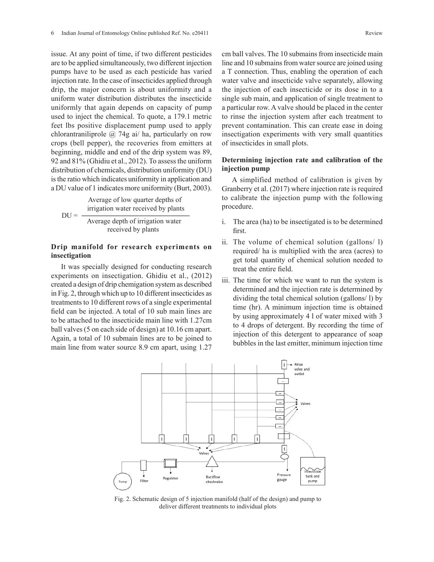issue. At any point of time, if two different pesticides are to be applied simultaneously, two different injection pumps have to be used as each pesticide has varied injection rate. In the case of insecticides applied through drip, the major concern is about uniformity and a uniform water distribution distributes the insecticide uniformly that again depends on capacity of pump used to inject the chemical. To quote, a 179.1 metric feet lbs positive displacement pump used to apply chlorantraniliprole  $\omega$  74g ai/ ha, particularly on row crops (bell pepper), the recoveries from emitters at beginning, middle and end of the drip system was 89, 92 and 81% (Ghidiu et al., 2012). To assess the uniform distribution of chemicals, distribution uniformity (DU) is the ratio which indicates uniformity in application and a DU value of 1 indicates more uniformity (Burt, 2003).

Average of low quarter depths of  
\nirrigation water received by plants

\n
$$
DU = \frac{1}{\text{Average depth of, a period by plants}}
$$

## **Drip manifold for research experiments on insectigation**

It was specially designed for conducting research experiments on insectigation. Ghidiu et al., (2012) created a design of drip chemigation system as described in Fig. 2, through which up to 10 different insecticides as treatments to 10 different rows of a single experimental field can be injected. A total of 10 sub main lines are to be attached to the insecticide main line with 1.27cm ball valves (5 on each side of design) at 10.16 cm apart. Again, a total of 10 submain lines are to be joined to main line from water source 8.9 cm apart, using 1.27

cm ball valves. The 10 submains from insecticide main line and 10 submains from water source are joined using a T connection. Thus, enabling the operation of each water valve and insecticide valve separately, allowing the injection of each insecticide or its dose in to a single sub main, and application of single treatment to a particular row. A valve should be placed in the center to rinse the injection system after each treatment to prevent contamination. This can create ease in doing insectigation experiments with very small quantities of insecticides in small plots.

# **Determining injection rate and calibration of the injection pump**

A simplified method of calibration is given by Granberry et al. (2017) where injection rate is required to calibrate the injection pump with the following procedure.

- i. The area (ha) to be insectigated is to be determined first.
- ii. The volume of chemical solution (gallons/ l) required/ ha is multiplied with the area (acres) to get total quantity of chemical solution needed to treat the entire field.
- iii. The time for which we want to run the system is determined and the injection rate is determined by dividing the total chemical solution (gallons/ l) by time (hr). A minimum injection time is obtained by using approximately 4 l of water mixed with 3 to 4 drops of detergent. By recording the time of injection of this detergent to appearance of soap bubbles in the last emitter, minimum injection time



Fig. 2. Schematic design of 5 injection manifold (half of the design) and pump to deliver deliver different treatments to individual plotsFig. 2. Schematic design of 5 injection manifold (half of the design) and pump to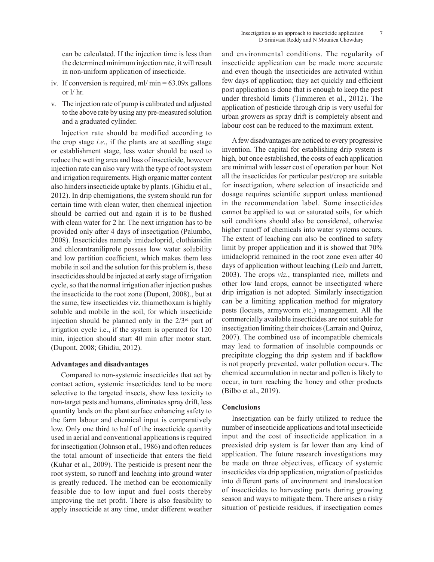can be calculated. If the injection time is less than the determined minimum injection rate, it will result in non-uniform application of insecticide.

- iv. If conversion is required,  $ml/min = 63.09x$  gallons or l/ hr.
- v. The injection rate of pump is calibrated and adjusted to the above rate by using any pre-measured solution and a graduated cylinder.

Injection rate should be modified according to the crop stage *i.e*., if the plants are at seedling stage or establishment stage, less water should be used to reduce the wetting area and loss of insecticide, however injection rate can also vary with the type of root system and irrigation requirements. High organic matter content also hinders insecticide uptake by plants. (Ghidiu et al., 2012). In drip chemigations, the system should run for certain time with clean water, then chemical injection should be carried out and again it is to be flushed with clean water for 2 hr. The next irrigation has to be provided only after 4 days of insectigation (Palumbo, 2008). Insecticides namely imidacloprid, clothianidin and chlorantraniliprole possess low water solubility and low partition coefficient, which makes them less mobile in soil and the solution for this problem is, these insecticides should be injected at early stage of irrigation cycle, so that the normal irrigation after injection pushes the insecticide to the root zone (Dupont, 2008)., but at the same, few insecticides viz. thiamethoxam is highly soluble and mobile in the soil, for which insecticide injection should be planned only in the  $2/3<sup>rd</sup>$  part of irrigation cycle i.e., if the system is operated for 120 min, injection should start 40 min after motor start. (Dupont, 2008; Ghidiu, 2012).

### **Advantages and disadvantages**

Compared to non-systemic insecticides that act by contact action, systemic insecticides tend to be more selective to the targeted insects, show less toxicity to non-target pests and humans, eliminates spray drift, less quantity lands on the plant surface enhancing safety to the farm labour and chemical input is comparatively low. Only one third to half of the insecticide quantity used in aerial and conventional applications is required for insectigation (Johnson et al., 1986) and often reduces the total amount of insecticide that enters the field (Kuhar et al., 2009). The pesticide is present near the root system, so runoff and leaching into ground water is greatly reduced. The method can be economically feasible due to low input and fuel costs thereby improving the net profit. There is also feasibility to apply insecticide at any time, under different weather and environmental conditions. The regularity of insecticide application can be made more accurate and even though the insecticides are activated within few days of application; they act quickly and efficient post application is done that is enough to keep the pest under threshold limits (Timmeren et al., 2012). The application of pesticide through drip is very useful for urban growers as spray drift is completely absent and labour cost can be reduced to the maximum extent.

A few disadvantages are noticed to every progressive invention. The capital for establishing drip system is high, but once established, the costs of each application are minimal with lesser cost of operation per hour. Not all the insecticides for particular pest/crop are suitable for insectigation, where selection of insecticide and dosage requires scientific support unless mentioned in the recommendation label. Some insecticides cannot be applied to wet or saturated soils, for which soil conditions should also be considered, otherwise higher runoff of chemicals into water systems occurs. The extent of leaching can also be confined to safety limit by proper application and it is showed that 70% imidacloprid remained in the root zone even after 40 days of application without leaching (Leib and Jarrett, 2003). The crops *viz.*, transplanted rice, millets and other low land crops, cannot be insectigated where drip irrigation is not adopted. Similarly insectigation can be a limiting application method for migratory pests (locusts, armyworm etc.) management. All the commercially available insecticides are not suitable for insectigation limiting their choices (Larrain and Quiroz, 2007). The combined use of incompatible chemicals may lead to formation of insoluble compounds or precipitate clogging the drip system and if backflow is not properly prevented, water pollution occurs. The chemical accumulation in nectar and pollen is likely to occur, in turn reaching the honey and other products (Bilbo et al., 2019).

### **Conclusions**

Insectigation can be fairly utilized to reduce the number of insecticide applications and total insecticide input and the cost of insecticide application in a preexisted drip system is far lower than any kind of application. The future research investigations may be made on three objectives, efficacy of systemic insecticides via drip application, migration of pesticides into different parts of environment and translocation of insecticides to harvesting parts during growing season and ways to mitigate them. There arises a risky situation of pesticide residues, if insectigation comes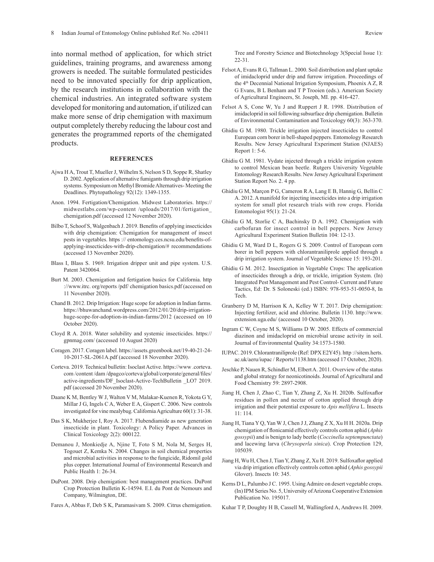into normal method of application, for which strict guidelines, training programs, and awareness among growers is needed. The suitable formulated pesticides need to be innovated specially for drip application, by the research institutions in collaboration with the chemical industries. An integrated software system developed for monitoring and automation, if utilized can make more sense of drip chemigation with maximum output completely thereby reducing the labour cost and generates the programmed reports of the chemigated products.

#### **REFERENCES**

- Ajwa H A, Trout T, Mueller J, Wilhelm S, Nelson S D, Soppe R, Shatley D. 2002. Application of alternative fumigants through drip irrigation systems. Symposium on Methyl Bromide Alternatives- Meeting the Deadlines. Phytopathology 92(12): 1349-1355.
- Anon. 1994. Fertigation/Chemigation. Midwest Laboratories. https:// midwestlabs.com/wp-content /uploads/2017/01/fertigation\_ chemigation.pdf (accessed 12 November 2020).
- Bilbo T, Schoof S, Walgenbach J. 2019. Benefits of applying insecticides with drip chemigation: Chemigation for management of insect pests in vegetables. https :// entomology.ces.ncsu.edu/benefits-ofapplying-insecticides-with-drip-chemigation/# recommendations (accessed 13 November 2020).
- Blass I, Blass S. 1969. Irrigation dripper unit and pipe system. U.S. Patent 3420064.
- Burt M. 2003. Chemigation and fertigation basics for California. http ://www.itrc. org/reports /pdf/ chemigation basics.pdf (accessed on 11 November 2020).
- Chand B. 2012. Drip Irrigation: Huge scope for adoption in Indian farms. https://bhuwanchand.wordpress.com/2012/01/20/drip-irrigationhuge-scope-for-adoption-in-indian-farms/2012 (accessed on 10 October 2020).
- Cloyd R A. 2018. Water solubility and systemic insecticides. https:// gpnmag.com/ (accessed 10 August 2020)
- Coragen. 2017. Coragen label. https://assets.greenbook.net/19-40-21-24- 10-2017-SL-2061A.pdf (accessed 18 November 2020).
- Corteva. 2019. Technical bulletin: Isoclast Active. https://www .corteva. com /content /dam /dpagco/corteva/global/corporate/general/files/ active-ingredients/DF\_Isoclast-Active-TechBulletin \_LO7 2019. pdf (accessed 20 November 2020).
- Daane K M, Bentley W J, Walton V M, Malakar-Kuenen R, Yokota G Y, Millar J G, Ingels C A, Weber E A, Gispert C. 2006. New controls investigated for vine mealybug. California Agriculture 60(1): 31-38.
- Das S K, Mukherjee I, Roy A. 2017. Flubendiamide as new generation insecticide in plant. Toxicology: A Policy Paper. Advances in Clinical Toxicology 2(2): 000122.
- Demanou J, Monkiedje A, Njine T, Foto S M, Nola M, Serges H, Togouet Z, Kemka N. 2004. Changes in soil chemical properties and microbial activities in response to the fungicide, Ridomil gold plus copper. International Journal of Environmental Research and Public Health 1: 26-34.
- DuPont. 2008. Drip chemigation: best management practices. DuPont Crop Protection Bulletin K-14594. E.I. du Pont de Nemours and Company, Wilmington, DE.
- Fares A, Abbas F, Deb S K, Paramasivam S. 2009. Citrus chemigation.

Tree and Forestry Science and Biotechnology 3(Special Issue 1): 22-31.

- Felsot A, Evans R G, Tallman L. 2000. Soil distribution and plant uptake of imidacloprid under drip and furrow irrigation. Proceedings of the 4th Decennial National Irrigation Symposium, Phoenix A Z, R G Evans, B L Benham and T P Trooien (eds.). American Society of Agricultural Engineers, St. Joseph, MI. pp. 416-427.
- Felsot A S, Cone W, Yu J and Ruppert J R. 1998. Distribution of imidacloprid in soil following subsurface drip chemigation. Bulletin of Environmental Contamination and Toxicology 60(3): 363-370.
- Ghidiu G M. 1980. Trickle irrigation injected insecticides to control European corn borer in bell-shaped peppers. Entomology Research Results. New Jersey Agricultural Experiment Station (NJAES) Report 1: 5-6.
- Ghidiu G M. 1981. Vydate injected through a trickle irrigation system to control Mexican bean beetle. Rutgers University Vegetable Entomology Research Results. New Jersey Agricultural Experiment Station Report No. 2. 4 pp.
- Ghidiu G M, Marçon P G, Cameron R A, Lang E B, Hannig G, Bellin C A. 2012. A manifold for injecting insecticides into a drip irrigation system for small plot research trials with row crops. Florida Entomologist 95(1): 21-24.
- Ghidiu G M, Storlie C A, Bachinsky D A. 1992. Chemigation with carbofuran for insect control in bell peppers. New Jersey Agricultural Experiment Station Bulletin 104: 12-13.
- Ghidiu G M, Ward D L, Rogers G S. 2009. Control of European corn borer in bell peppers with chlorantraniliprole applied through a drip irrigation system. Journal of Vegetable Science 15: 193-201.
- Ghidiu G M. 2012. Insectigation in Vegetable Crops: The application of insecticides through a drip, or trickle, irrigation System. (In) Integrated Pest Management and Pest Control- Current and Future Tactics, Ed: Dr. S Soloneski (ed.) ISBN: 978-953-51-0050-8, In Tech.
- Granberry D M, Harrison K A, Kelley W T. 2017. Drip chemigation: Injecting fertilizer, acid and chlorine. Bulletin 1130. http://www. extension.uga.edu/ (accessed 10 October, 2020).
- Ingram C W, Coyne M S, Williams D W. 2005. Effects of commercial diazinon and imidacloprid on microbial urease activity in soil. Journal of Environmental Quality 34:1573-1580.
- IUPAC. 2019. Chlorantraniliprole (Ref: DPX E2Y45). http ://sitem.herts. ac.uk/aeru/iupac / Reports/1138.htm (accessed 17 October, 2020).
- Jeschke P, Nauen R, Schindler M, Elbert A. 2011. Overview of the status and global strategy for neonicotinoids. Journal of Agricultural and Food Chemistry 59: 2897-2908.
- Jiang H, Chen J, Zhao C, Tian Y, Zhang Z, Xu H. 2020b. Sulfoxaflor residues in pollen and nectar of cotton applied through drip irrigation and their potential exposure to *Apis mellifera* L. Insects 11: 114.
- Jiang H, Tiana Y Q, Yan W J, Chen J J, Zhang Z X, Xu H H. 2020a. Drip chemigation of flonicamid effectively controls cotton aphid (*Aphis gossypii*) and is benign to lady beetle (*Coccinella septempunctata*) and lacewing larva (*Chrysoperla sinica*). Crop Protection 129, 105039.
- Jiang H, Wu H, Chen J, Tian Y, Zhang Z, Xu H. 2019. Sulfoxaflor applied via drip irrigation effectively controls cotton aphid (*Aphis gossypii* Glover). Insects 10: 345.
- Kerns D L, Palumbo J C. 1995. Using Admire on desert vegetable crops. (In) IPM Series No. 5, University of Arizona Cooperative Extension Publication No. 195017.
- Kuhar T P, Doughty H B, Cassell M, Wallingford A, Andrews H. 2009.